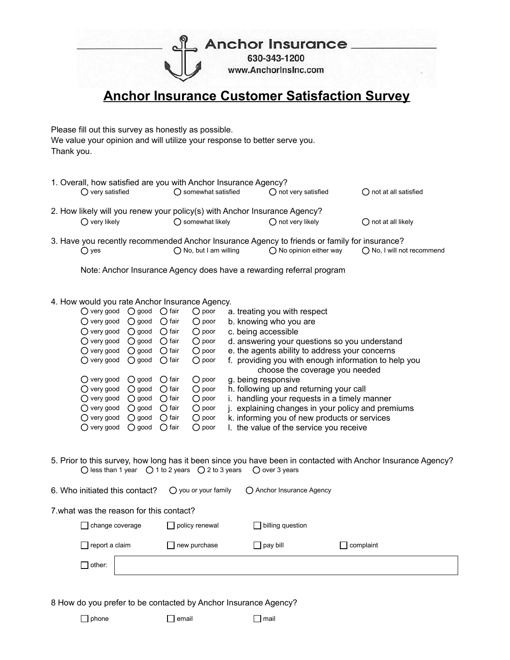**Anchor Insurance.** 

630-343-1200 www.Anchorinsinc.com

## **Anchor Insurance Customer Satisfaction Survey**

Please fill out this survey as honestly as possible. We value your opinion and will utilize your response to better serve you. Thank you.

|                                                                           | 1. Overall, how satisfied are you with Anchor Insurance Agency?<br>$\bigcap$ not very satisfied<br>◯ somewhat satisfied<br>$\bigcap$ very satisfied<br>$\bigcap$ not at all satisfied |                           |                           |                             |  |  |  |
|---------------------------------------------------------------------------|---------------------------------------------------------------------------------------------------------------------------------------------------------------------------------------|---------------------------|---------------------------|-----------------------------|--|--|--|
|                                                                           |                                                                                                                                                                                       |                           |                           |                             |  |  |  |
| 2. How likely will you renew your policy(s) with Anchor Insurance Agency? |                                                                                                                                                                                       |                           |                           |                             |  |  |  |
|                                                                           | $\bigcap$ very likely                                                                                                                                                                 | $\bigcap$ somewhat likely | $\bigcap$ not very likely | $\bigcap$ not at all likely |  |  |  |
|                                                                           | 3. Have you recently recommended Anchor Insurance Agency to friends or family for insurance?                                                                                          |                           |                           |                             |  |  |  |

 $\bigcirc$  yes  $\bigcirc$  No, but I am willing  $\bigcirc$  No opinion either way  $\bigcirc$  No, I will not recommend

Note: Anchor Insurance Agency does have a rewarding referral program

## 4. How would you rate Anchor Insurance Agency.

| () very good         | $\bigcirc$ good | fair           | $\bigcirc$ poor | a. treating you with respect                         |
|----------------------|-----------------|----------------|-----------------|------------------------------------------------------|
| $\bigcirc$ very good | $\bigcirc$ good | $\bigcap$ fair | $\bigcirc$ poor | b. knowing who you are                               |
| $\bigcirc$ very good | $\bigcap$ good  | $\bigcap$ fair | $\bigcirc$ poor | c. being accessible                                  |
| () very good         | $\bigcirc$ good | $\bigcap$ fair | $\bigcirc$ poor | d. answering your questions so you understand        |
| $\bigcirc$ very good | $\bigcirc$ good | $\bigcap$ fair | $\bigcirc$ poor | e. the agents ability to address your concerns       |
| $\bigcirc$ very good | $\bigcirc$ good | $\bigcap$ fair | $\bigcirc$ poor | f. providing you with enough information to help you |
|                      |                 |                |                 | choose the coverage you needed                       |
| $\bigcirc$ very good | $\bigcirc$ good | $\bigcap$ fair | $\bigcirc$ poor | g. being responsive                                  |
| $\bigcirc$ very good | $\bigcap$ good  | $\bigcap$ fair | $\bigcirc$ poor | h. following up and returning your call              |
| $\bigcirc$ very good | $\bigcirc$ good | $\bigcap$ fair | $\bigcirc$ poor | i. handling your requests in a timely manner         |
| $\bigcirc$ very good | $\bigcirc$ good | $\bigcap$ fair | $\bigcirc$ poor | j. explaining changes in your policy and premiums    |
| $\bigcirc$ very good | $\bigcirc$ good | $\bigcap$ fair | $\bigcirc$ poor | k. informing you of new products or services         |
| () very good         | $\bigcirc$ good | fair<br>()     | $\bigcirc$ poor | I. the value of the service you receive              |

5. Prior to this survey, how long has it been since you have been in contacted with Anchor Insurance Agency?  $\bigcirc$  less than 1 year  $\bigcirc$  1 to 2 years  $\bigcirc$  2 to 3 years  $\bigcirc$  over 3 years

| 6. Who initiated this contact?           | $\bigcirc$ you or your family | ◯ Anchor Insurance Agency |           |  |  |  |  |
|------------------------------------------|-------------------------------|---------------------------|-----------|--|--|--|--|
| 7. what was the reason for this contact? |                               |                           |           |  |  |  |  |
| change coverage                          | $\Box$ policy renewal         | $\Box$ billing question   |           |  |  |  |  |
| $\sqcap$ report a claim                  | $\Box$ new purchase           | pay bill                  | complaint |  |  |  |  |
| other:                                   |                               |                           |           |  |  |  |  |

8 How do you prefer to be contacted by Anchor Insurance Agency?

phone email email mail